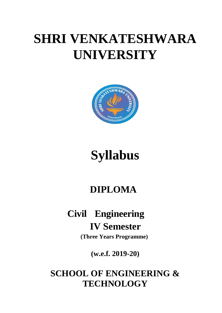# **SHRI VENKATESHWARA UNIVERSITY**



# **Syllabus**

# **DIPLOMA**

# **Civil Engineering IV Semester**

**(Three Years Programme)**

**(w.e.f. 2019-20)**

# **SCHOOL OF ENGINEERING & TECHNOLOGY**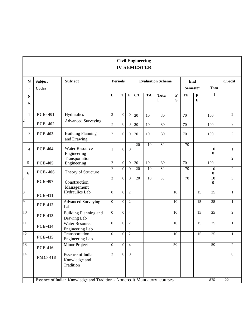# **Civil Engineering IV SEMESTER**

| <b>SI</b>       | <b>Subject</b><br><b>Codes</b> | <b>Subject</b>                                                          | <b>Periods</b>   |                         |                         | <b>Evaluation Scheme</b> |                 |                             |                 | End<br><b>Semester</b> |                              | <b>Tota</b>                       | <b>Credit</b>  |
|-----------------|--------------------------------|-------------------------------------------------------------------------|------------------|-------------------------|-------------------------|--------------------------|-----------------|-----------------------------|-----------------|------------------------|------------------------------|-----------------------------------|----------------|
| N<br>0.         |                                |                                                                         | L                | $\overline{\mathbf{T}}$ | $\overline{\mathbf{P}}$ | $\overline{\text{CT}}$   | <b>TA</b>       | <b>Tota</b><br>$\mathbf{l}$ | ${\bf P}$<br>S  | TE                     | $\overline{\mathbf{P}}$<br>E | $\mathbf{I}$                      |                |
| $\mathbf{1}$    | <b>PCE-401</b>                 | Hydraulics                                                              | $\overline{2}$   | $\boldsymbol{0}$        | $\theta$                | 20                       | 10              | 30                          |                 | 70                     |                              | 100                               | $\overline{2}$ |
| $\overline{c}$  | <b>PCE-402</b>                 | <b>Advanced Surveying</b>                                               | $\overline{2}$   | $\overline{0}$          | $\overline{0}$          | 20                       | 10              | 30                          |                 | 70                     |                              | 100                               | $\overline{2}$ |
| 3               | <b>PCE-403</b>                 | <b>Building Planning</b><br>and Drawing                                 | $\overline{2}$   | $\Omega$                | $\overline{0}$          | 20                       | 10              | 30                          |                 | 70                     |                              | 100                               | $\overline{2}$ |
| 4               | <b>PCE-404</b>                 | <b>Water Resource</b><br>Engineering                                    | $\mathbf{1}$     | $\Omega$                | $\Omega$                | 20                       | 10              | $\overline{30}$             |                 | 70                     |                              | 10<br>$\Omega$                    | $\mathbf{1}$   |
| 5               | <b>PCE-405</b>                 | Transportation<br>Engineering                                           | $\overline{2}$   | $\overline{0}$          | $\overline{0}$          | 20                       | 10              | 30                          |                 | 70                     |                              | 100                               | $\overline{2}$ |
| 6               | <b>PCE-406</b>                 | Theory of Structure                                                     | $\overline{2}$   | $\overline{0}$          | $\overline{0}$          | $\overline{20}$          | $\overline{10}$ | $\overline{30}$             |                 | 70                     |                              | 10<br>$\mathbf{0}$                | $\overline{2}$ |
| 7               | <b>PCE-407</b>                 | Construction<br>Management                                              | 3                | $\overline{0}$          | $\overline{0}$          | 20                       | $\overline{10}$ | 30                          |                 | 70                     |                              | $\overline{10}$<br>$\overline{0}$ | $\overline{3}$ |
| $\overline{8}$  | <b>PCE-411</b>                 | <b>Hydraulics</b> Lab                                                   | $\mathbf{0}$     | $\overline{0}$          | $\overline{2}$          |                          |                 |                             | $\overline{10}$ |                        | $\overline{15}$              | $\overline{25}$                   | $\mathbf{1}$   |
| $\overline{9}$  | <b>PCE-412</b>                 | <b>Advanced Surveying</b><br>Lab                                        | $\overline{0}$   | $\overline{0}$          | $\overline{c}$          |                          |                 |                             | $\overline{10}$ |                        | 15                           | $\overline{25}$                   | $\mathbf{1}$   |
| 10              | <b>PCE-413</b>                 | <b>Building Planning and</b><br>Drawing Lab                             | $\boldsymbol{0}$ | $\overline{0}$          | $\overline{4}$          |                          |                 |                             | 10              |                        | 15                           | 25                                | $\overline{2}$ |
| $\overline{11}$ | <b>PCE-414</b>                 | <b>Water Resource</b><br>Engineering Lab                                | $\overline{0}$   | $\theta$                | $\overline{2}$          |                          |                 |                             | $\overline{10}$ |                        | $\overline{15}$              | $\overline{25}$                   | $\mathbf{1}$   |
| 12              | <b>PCE-415</b>                 | Transportation<br><b>Engineering Lab</b>                                | $\overline{0}$   | $\overline{0}$          | $\overline{2}$          |                          |                 |                             | 10              |                        | $\overline{15}$              | $\overline{25}$                   | $\mathbf{1}$   |
| 13              | <b>PCE-416</b>                 | <b>Minor Project</b>                                                    | $\overline{0}$   | $\Omega$                | $\overline{4}$          |                          |                 |                             | $\overline{50}$ |                        |                              | $\overline{50}$                   | $\overline{2}$ |
| $\overline{14}$ | <b>PMC-418</b>                 | <b>Essence of Indian</b><br>Knowledge and<br>Tradition                  | $\overline{2}$   | $\Omega$                | $\overline{0}$          |                          |                 |                             |                 |                        |                              |                                   | $\overline{0}$ |
|                 |                                | Essence of Indian Knowledge and Tradition - Noncredit Mandatory courses |                  |                         |                         |                          |                 |                             |                 |                        |                              | 875                               | 22             |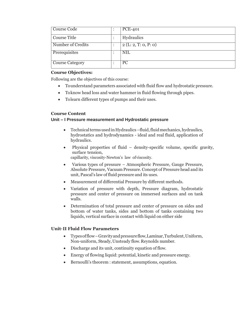| Course Code         |  | <b>PCE-401</b>      |
|---------------------|--|---------------------|
| <b>Course Title</b> |  | <b>Hydraulics</b>   |
| Number of Credits   |  | 2(L: 2, T: 0, P: 0) |
| Prerequisites       |  | <b>NIL</b>          |
| Course Category     |  | <b>PC</b>           |

#### **Course Objectives:**

Following are the objectives of this course:

- Tounderstand parameters associated with fluid flow and hydrostatic pressure.
- Toknow head loss and water hammer in fluid flowing through pipes.
- Tolearn different types of pumps and their uses.

# **Course Content**

# **Unit – I Pressure measurement and Hydrostatic pressure**

- Technical terms used in Hydraulics fluid, fluid mechanics, hydraulics, hydrostatics and hydrodynamics - ideal and real fluid, application of hydraulics.
- Physical properties of fluid density-specific volume, specific gravity, surface tension, capillarity, viscosity-Newton's law ofviscosity.
- Various types of pressure Atmospheric Pressure, Gauge Pressure, Absolute Pressure, VacuumPressure. Concept of Pressure head and its unit, Pascal's law of fluid pressure and its uses.
- Measurement of differential Pressure by different methods.
- Variation of pressure with depth, Pressure diagram, hydrostatic pressure and center of pressure on immersed surfaces and on tank walls.
- Determination of total pressure and center of pressure on sides and bottom of water tanks, sides and bottom of tanks containing two liquids, vertical surface in contact with liquid on either side

# **Unit–II Fluid Flow Parameters**

- Typesofflow–Gravityandpressureflow,Laminar,Turbulent,Uniform, Non-uniform, Steady,Unsteady flow.Reynolds number.
- Discharge and its unit, continuity equation of flow.
- Energy of flowing liquid: potential, kinetic and pressure energy.
- Bernoulli's theorem : statement, assumptions, equation.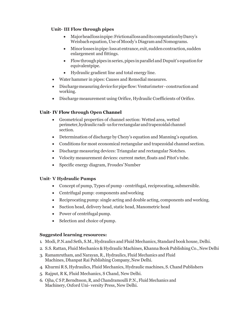# **Unit– III Flow through pipes**

- Majorheadlossinpipe:FrictionallossanditscomputationbyDarcy's Weisbach equation, Use of Moody's Diagram and Nomograms.
- Minor losses inpipe:lossat entrance,exit,suddencontraction,sudden enlargement and fittings.
- $\bullet$  Flow through pipes in series, pipes in parallel and Dupuit's equation for equivalentpipe.
- Hydraulic gradient line and total energy line.
- Water hammer in pipes: Causes and Remedial measures.
- Dischargemeasuringdeviceforpipe flow:Venturimeter constructionand working.
- Discharge measurement using Orifice, Hydraulic Coefficients of Orifice.

# **Unit– IV Flow through Open Channel**

- Geometrical properties of channel section: Wetted area, wetted perimeter,hydraulicradi-us for rectangularandtrapezoidalchannel section.
- Determination of discharge by Chezy's equation and Manning's equation.
- Conditions for most economical rectangular and trapezoidal channel section.
- Discharge measuring devices: Triangular and rectangular Notches.
- Velocity measurement devices: current meter,floats and Pitot's tube.
- Specific energy diagram, Froudes'Number

# **Unit– V Hydraulic Pumps**

- Concept of pump, Types of pump centrifugal, reciprocating, submersible.
- Centrifugal pump: components and working
- Reciprocating pump: single acting and double acting, components and working.
- Suction head, delivery head, static head, Manometric head
- Power of centrifugal pump.
- Selection and choice of pump.

# **Suggested learning resources:**

- 1. Modi, P.N.and Seth, S.M., Hydraulics and Fluid Mechanics, Standard book house, Delhi.
- 2. S.S. Rattan, Fluid Mechanics & Hydraulic Machines, Khanna Book Publishing Co., New Delhi
- 3. Ramamrutham, and Narayan, R., Hydraulics, Fluid Mechanics and Fluid Machines, Dhanpat Rai Publishing Company, New Delhi.
- 4. Khurmi R S, Hydraulics, Fluid Mechanics, Hydraulic machines, S. ChandPublishers
- 5. Rajput, R K, Fluid Mechanics, S Chand, New Delhi.
- 6. Ojha, C S P,Berndtsson, R, and Chandramoulli P.N., Fluid Mechanics and Machinery, Oxford Uni- versity Press, New Delhi.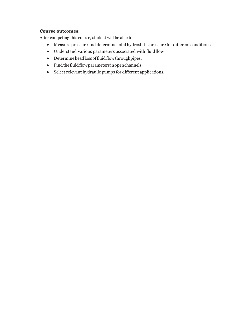#### **Course outcomes:**

After competing this course, student will be able to:

- Measure pressure and determine total hydrostatic pressure for different conditions.
- Understand various parameters associated with fluidflow
- Determineheadlossoffluidflowthroughpipes.
- Findthefluidflowparameters inopenchannels.
- Select relevant hydraulic pumps for different applications.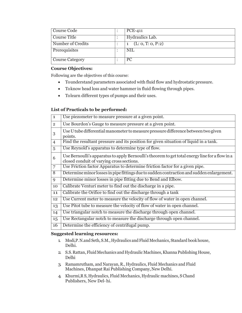| Course Code            | <b>PCE-411</b>     |
|------------------------|--------------------|
| Course Title           | Hydraulics Lab.    |
| Number of Credits      | (L: 0, T: 0, P: 2) |
| Prerequisites          | <b>NIL</b>         |
| <b>Course Category</b> | <sub>PC</sub>      |

# **Course Objectives:**

Following are the objectives of this course:

- Tounderstand parameters associated with fluid flow and hydrostatic pressure.
- Toknow head loss and water hammer in fluid flowing through pipes.
- Tolearn different types of pumps and their uses.

# **List of Practicals to be performed:**

| $\mathbf{1}$   | Use piezometer to measure pressure at a given point.                                                                                         |
|----------------|----------------------------------------------------------------------------------------------------------------------------------------------|
| $\overline{2}$ | Use Bourdon's Gauge to measure pressure at a given point.                                                                                    |
| 3              | Use U tube differential manometer to measure pressure difference between two given<br>points.                                                |
| 4              | Find the resultant pressure and its position for given situation of liquid in a tank.                                                        |
| 5              | Use Reynold's apparatus to determine type of flow.                                                                                           |
| 6              | Use Bernoulli's apparatus to apply Bernoulli's theorem to get total energy line for a flow in a<br>closed conduit of varying cross sections. |
| $\overline{7}$ | Use Friction factor Apparatus to determine friction factor for a given pipe.                                                                 |
| $\overline{8}$ | Determine minor losses in pipe fittings due to sudden contraction and sudden enlargement.                                                    |
| $\mathbf Q$    | Determine minor losses in pipe fitting due to Bend and Elbow.                                                                                |
| 10             | Calibrate Venturi meter to find out the discharge in a pipe.                                                                                 |
| 11             | Calibrate the Orifice to find out the discharge through a tank                                                                               |
| 12             | Use Current meter to measure the velocity of flow of water in open channel.                                                                  |
| 13             | Use Pitot tube to measure the velocity of flow of water in open channel.                                                                     |
| 14             | Use triangular notch to measure the discharge through open channel.                                                                          |
| 15             | Use Rectangular notch to measure the discharge through open channel.                                                                         |
| 16             | Determine the efficiency of centrifugal pump.                                                                                                |

# **Suggested learning resources:**

- 1. Modi,P.N.and Seth, S.M., Hydraulics and Fluid Mechanics, Standard bookhouse, Delhi.
- 2. S.S. Rattan, Fluid Mechanics and Hydraulic Machines, Khanna Publishing House, Delhi
- 3. Ramamrutham, and Narayan, R., Hydraulics, Fluid Mechanics and Fluid Machines, Dhanpat Rai Publishing Company, New Delhi.
- 4. Khurmi,R S, Hydraulics, Fluid Mechanics, Hydraulic machines, S Chand Publishers, New Del-hi.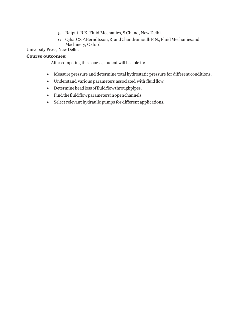- 5. Rajput, R K, Fluid Mechanics, S Chand, New Delhi.
- 6. Ojha,CSP,Berndtsson,R,andChandramoulliP.N.,FluidMechanicsand Machinery, Oxford

University Press, New Delhi.

# **Course outcomes:**

After competing this course, student will be able to:

- Measure pressure and determine total hydrostatic pressure for different conditions.
- Understand various parameters associated with fluidflow.
- Determineheadlossoffluidflowthroughpipes.
- Findthefluidflowparameters inopenchannels.
- Select relevant hydraulic pumps for different applications.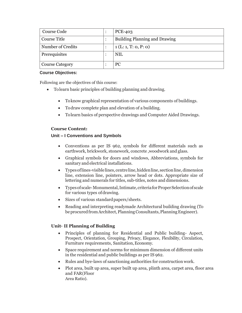| Course Code            |  | <b>PCE-403</b>                       |
|------------------------|--|--------------------------------------|
| <b>Course Title</b>    |  | <b>Building Planning and Drawing</b> |
| Number of Credits      |  | 1(L:1, T: 0, P: 0)                   |
| Prerequisites          |  | <b>NIL</b>                           |
| <b>Course Category</b> |  | <b>PC</b>                            |

#### **Course Objectives:**

Following are the objectives of this course:

- Tolearn basic principles of building planning and drawing.
	- Toknow graphical representation of various components of buildings.
	- Todraw complete plan and elevation of a building.
	- Tolearn basics of perspective drawings and Computer Aided Drawings.

# **Course Content:**

# **Unit – I Conventions and Symbols**

- Conventions as per IS 962, symbols for different materials such as earthwork, brickwork, stonework, concrete ,woodwork and glass.
- Graphical symbols for doors and windows, Abbreviations, symbols for sanitary and electrical installations.
- Typesoflines-visiblelines, centreline,hiddenline, sectionline,dimension line, extension line, pointers, arrow head or dots. Appropriate size of lettering and numerals for titles, sub-titles, notes and dimensions.
- Typesof scale-Monumental,Intimate,criteriaforProperSelectionofscale for various types ofdrawing.
- Sizes of various standard papers/sheets.
- Reading and interpreting readymade Architectural building drawing (To be procured from Architect, Planning Consultants, Planning Engineer).

# **Unit– II Planning of Building**

- Principles of planning for Residential and Public building- Aspect, Prospect, Orientation, Grouping, Privacy, Elegance, Flexibility, Circulation, Furniture requirements, Sanitation, Economy.
- Space requirement and norms for minimum dimension of different units in the residential and public buildings as per IS 962.
- Rules and bye-laws of sanctioning authorities for construction work.
- Plot area, built up area, super built up area, plinth area, carpet area, floor area and FAR(Floor Area Ratio).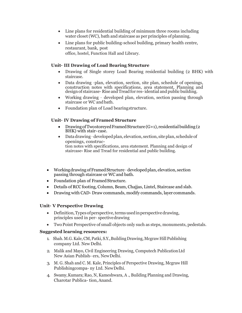- Line plans for residential building of minimum three rooms including water closet (WC), bath and staircase as per principles of planning.
- Line plans for public building-school building, primary health centre, restaurant, bank, post office, hostel, Function Hall and Library.

# **Unit– III Drawing of Load Bearing Structure**

- Drawing of Single storey Load Bearing residential building (2 BHK) with staircase.
- Data drawing –plan, elevation, section, site plan, schedule of openings, construction notes with specifications, area statement, Planning and design of staircase-Rise and Tread for res-idential and public building.
- Working drawing developed plan, elevation, section passing through staircase or WC andbath.
- Foundation plan of Load bearingstructure.

#### **Unit– IV Drawing of Framed Structure**

- Drawing of Twostoreyed Framed Structure  $(G+1)$ , residential building (2 BHK) with stair- case.
- Datadrawing–developedplan, elevation, section, siteplan, scheduleof openings, construction notes with specifications, area statement. Planning and design of staircase**-** Rise and Tread for residential and public building.
- Working drawing of Framed Structure developed plan, elevation, section passing through staircase or WC and bath.
- Foundation plan of Framed Structure.
- Details of RCC footing, Column, Beam, Chajjas, Lintel, Staircase and slab.
- Drawing with CAD- Draw commands, modify commands, layer commands.

#### **Unit– V Perspective Drawing**

- Definition, Types of perspective, terms used in perspective drawing, principles used in per- spectivedrawing
- TwoPoint Perspective of small objects only such as steps, monuments, pedestals.

#### **Suggested learning resources:**

- 1. Shah. M.G. Kale, CM, Patki, S.Y., Building Drawing, Mcgraw Hill Publishing company Ltd. New Delhi.
- 2. Malik and Mayo, Civil Engineering Drawing, Computech PublicationLtd New Asian Publish- ers, NewDelhi.
- 3. M. G. Shah and C. M. Kale, Principles of Perspective Drawing, Mcgraw Hill Publishingcompa- ny Ltd. NewDelhi.
- 4. Swamy,Kumara; Rao, N, Kameshwara, A ., Building Planning and Drawing, Charotar Publica- tion,Anand.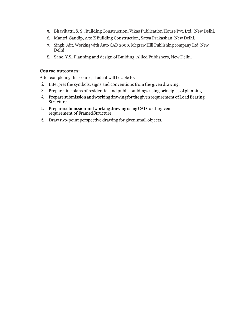- 5. Bhavikatti, S. S., BuildingConstruction,Vikas Publication House Pvt. Ltd.,NewDelhi.
- 6. Mantri, Sandip, A to Z Building Construction, Satya Prakashan, New Delhi.
- 7. Singh, Ajit, Working with Auto CAD 2000, Mcgraw Hill Publishing company Ltd. New Delhi.
- 8. Sane, Y.S.,Planning and design of Building, Allied Publishers, New Delhi.

#### **Course outcomes:**

After completing this course, student will be able to:

- 2. Interpret the symbols, signs and conventions from the givendrawing.
- 3. Prepare line plans of residential and public buildings using principles ofplanning.
- 4. Prepare submission and working drawing for the given requirement of Load Bearing Structure.
- 5. Prepare submission and working drawing using CAD for the given requirement of FramedStructure.
- 6. Draw two-point perspective drawing for given small objects.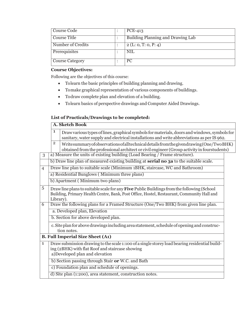| Course Code            | $PCE-413$                         |
|------------------------|-----------------------------------|
| Course Title           | Building Planning and Drawing Lab |
| Number of Credits      | 2(L: 0, T: 0, P: 4)               |
| Prerequisites          | NIL                               |
| <b>Course Category</b> | <sub>PC</sub>                     |

# **Course Objectives:**

Following are the objectives of this course:

- Tolearn the basic principles of building planning and drawing.
- Tomake graphical representation of various components of buildings.
- Todraw complete plan and elevation of a building.
- Tolearn basics of perspective drawings and Computer Aided Drawings.

# **List of Practicals/Drawings to be completed:**

|                |                | A. Sketch Book                                                                                                                                                                             |  |
|----------------|----------------|--------------------------------------------------------------------------------------------------------------------------------------------------------------------------------------------|--|
|                | 1              | Draw various types of lines, graphical symbols for materials, doors and windows, symbols for<br>sanitary, water supply and electrical installations and write abbreviations as per IS 962. |  |
|                | $\overline{2}$ | Writesummaryofobservations of all technical details from the given drawing (One/Two BHK)<br>obtained from the professional architect or civil engineer (Group activity in fourstudents)    |  |
| 3              |                | a) Measure the units of existing building (Load Bearing / Frame structure).                                                                                                                |  |
|                |                | b) Draw line plan of measured existing building at <b>serial no 3a</b> to the suitable scale.                                                                                              |  |
| $\overline{4}$ |                | Draw line plan to suitable scale (Minimum 1BHK, staircase, WC and Bathroom)                                                                                                                |  |
|                |                | a) Residential Bunglows (Minimum three plans)                                                                                                                                              |  |
|                |                | b) Apartment (Minimum two plans)                                                                                                                                                           |  |
| 5              | Library).      | Draw line plans to suitable scale for any Five Public Buildings from the following (School<br>Building, Primary Health Centre, Bank, Post Office, Hostel, Restaurant, Community Hall and   |  |
| $\overline{6}$ |                | Draw the following plans for a Framed Structure (One/Two BHK) from given line plan.                                                                                                        |  |
|                |                | a. Developed plan, Elevation                                                                                                                                                               |  |
|                |                | b. Section for above developed plan.                                                                                                                                                       |  |
|                |                | c. Site plan for above drawings including area statement, schedule of opening and construc-<br>tion notes.                                                                                 |  |
|                |                | <b>B. Full Imperial Size Sheet (A1)</b>                                                                                                                                                    |  |
| $\mathbf{1}$   |                | Draw submission drawing to the scale 1:100 of a single storey load bearing residential build-<br>ing (2BHK) with flat Roof and staircase showing<br>a)Developed plan and elevation         |  |
|                |                | b) Section passing through Stair or W.C. and Bath                                                                                                                                          |  |
|                |                | c) Foundation plan and schedule of openings.                                                                                                                                               |  |
|                |                | d) Site plan (1:200), area statement, construction notes.                                                                                                                                  |  |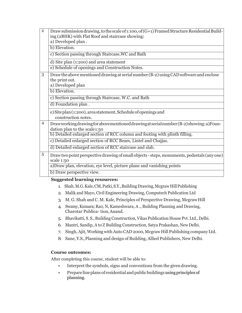| $\overline{2}$ | Draw submission drawing, to the scale of 1:100, of (G+1) Framed Structure Residential Build-<br>ing (2BHK) with Flat Roof and staircase showing:<br>a) Developed plan.<br>b) Elevation.<br>c) Section passing through Staircase, WC and Bath<br>d) Site plan (1:200) and area statement |
|----------------|-----------------------------------------------------------------------------------------------------------------------------------------------------------------------------------------------------------------------------------------------------------------------------------------|
|                | e) Schedule of openings and Construction Notes.                                                                                                                                                                                                                                         |
| 3              | Draw the above mentioned drawing at serial number (B-2) using CAD software and enclose<br>the print out.<br>a) Developed plan                                                                                                                                                           |
|                | b) Elevation.                                                                                                                                                                                                                                                                           |
|                | c) Section passing through Staircase, W.C. and Bath                                                                                                                                                                                                                                     |
|                | d) Foundation plan.                                                                                                                                                                                                                                                                     |
|                | e) Siteplan (1:200), area statement, Schedule of openings and<br>construction notes.                                                                                                                                                                                                    |
| $\overline{4}$ | Drawworking drawing for above mentioned drawing atserial number (B-2) showing: a) Foun-<br>dation plan to the scale1:50<br>b) Detailed enlarged section of RCC column and footing with plinth filling.                                                                                  |
|                | c) Detailed enlarged section of RCC Beam, Lintel and Chajjas.                                                                                                                                                                                                                           |
|                | d) Detailed enlarged section of RCC staircase and slab.                                                                                                                                                                                                                                 |
| 5              | Draw two point perspective drawing of small objects - steps, monuments, pedestals (any one)<br>scale 1:50                                                                                                                                                                               |
|                | a) Draw plan, elevation, eye level, picture plane and vanishing points                                                                                                                                                                                                                  |
|                | b) Draw perspective view.                                                                                                                                                                                                                                                               |

#### **Suggested learning resources:**

- 1. Shah.M.G.Kale,CM,Patki,S.Y.,BuildingDrawing,McgrawHillPublishing
- 2. Malik and Mayo, Civil Engineering Drawing, Computech Publication Ltd
- 3. M. G. Shah and C. M. Kale, Principles of Perspective Drawing, McgrawHill
- 4. Swamy,Kumara; Rao, N, Kameshwara, A ., Building Planning and Drawing, Charotar Publica- tion,Anand.
- 5. Bhavikatti, S. S., Building Construction, Vikas Publication House Pvt. Ltd.,Delhi.
- 6. Mantri, Sandip, A to Z Building Construction, Satya Prakashan, New Delhi.
- 7. Singh, Ajit, Working with Auto CAD 2000, Mcgraw Hill Publishing company Ltd.
- 8. Sane, Y.S.,Planning and design of Building, Allied Publishers, New Delhi.

# **Course outcomes:**

After completing this course, student will be able to:

- Interpret the symbols, signs and conventions from the given drawing.
- Prepareline plans of residential and public buildings using principles of planning.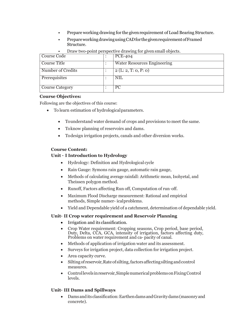- Prepare working drawing for the given requirement of Load Bearing Structure.
- PrepareworkingdrawingusingCADfor thegivenrequirementofFramed Structure.

• Draw two-point perspective drawing for given small objects.

| Course Code            |  | <b>PCE-404</b>                     |
|------------------------|--|------------------------------------|
| Course Title           |  | <b>Water Resources Engineering</b> |
| Number of Credits      |  | 2(L: 2, T: 0, P: 0)                |
| Prerequisites          |  | NIL                                |
| <b>Course Category</b> |  | PС                                 |

#### **Course Objectives:**

Following are the objectives of this course:

- To learn estimation of hydrologicalparameters.
	- Tounderstand water demand of crops and provisions to meet the same.
	- To know planning of reservoirs and dams.
	- Todesign irrigation projects, canals and other diversion works.

# **Course Content:**

# **Unit – I Introduction to Hydrology**

- Hydrology: Definition and Hydrological cycle
- Rain Gauge: Symons rain gauge, automatic rain gauge,
- Methods of calculating average rainfall: Arithmetic mean, Isohyetal, and Theissen polygon method.
- Runoff, Factors affecting Run off, Computation of run–off.
- Maximum Flood Discharge measurement: Rational and empirical methods, Simple numer- icalproblems.
- Yield and Dependable yield of a catchment, determination of dependable yield.

# **Unit– II Crop water requirement and Reservoir Planning**

- Irrigation and its classification.
- Crop Water requirement: Cropping seasons, Crop period, base period, Duty, Delta, CCA, GCA, intensity of irrigation, factors affecting duty, Problems on water requirement and ca- pacity of canal.
- Methods of application of irrigation water and its assessment.
- Surveys for irrigation project, data collection for irrigation project.
- Area capacity curve.
- Siltingof reservoir,Rateof silting,factorsaffectingsiltingandcontrol measures.
- Controllevels in reservoir, Simple numerical problems on Fixing Control levels.

# **Unit– III Dams and Spillways**

 Damsandits classification:EarthendamsandGravitydams(masonryand concrete).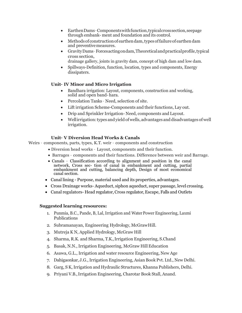- EarthenDams–Componentswithfunction,typicalcrosssection,seepage through embank- ment and foundation and its control.
- Methodsof constructionofearthendam,typesoffailureof earthendam and preventivemeasures.
- GravityDams–Forcesactingondam,Theoreticalandpracticalprofile,typical cross section,
	- drainage gallery, joints in gravity dam, concept of high dam and low dam.
- Spillways-Definition, function, location, types and components, Energy dissipaters.

#### **Unit– IV Minor and Micro Irrigation**

- Bandhara irrigation: Layout, components, construction and working, solid and open band-hara.
- Percolation Tanks Need, selection of site.
- Lift irrigation Scheme-Components and their functions, Lay out.
- Drip and Sprinkler Irrigation- Need, components and Layout.
- Wellirrigation: types and yield of wells, advantages and disadvantages of well irrigation.

#### **Unit– V Diversion Head Works & Canals**

Weirs – components, parts, types, K.T. weir – components and construction

- Diversion head works Layout, components and their function.
- Barrages components and their functions. Difference between weir and Barrage.
- Canals Classification according to alignment and position in the canal network, Cross sec- tion of canal in embankment and cutting, partial embankment and cutting, balancing depth, Design of most economical canal section.
- Canal lining Purpose, material used and its properties, advantages.
- Cross Drainage works- Aqueduct, siphon aqueduct, super passage, level crossing.
- Canal regulators- Head regulator, Cross regulator, Escape, Falls and Outlets

#### **Suggested learning resources:**

- 1. Punmia, B.C., Pande, B, Lal, Irrigation and Water Power Engineering, Laxmi Publications
- 2. Subramanayan, Engineering Hydrology, McGrawHill.
- 3. Mutreja K N, Applied Hydrology, McGraw Hill
- 4. Sharma, R.K. and Sharma, T.K.,Irrigation Engineering, S.Chand
- 5. Basak, N.N.,Irrigation Engineering, McGraw HillEducation
- 6. Asawa, G.L., Irrigation and water resource Engineering, New Age
- 7. Dahigaonkar,J.G.,Irrigation Engineering, Asian Book Pvt. Ltd., New Delhi.
- 8. Garg, S K, Irrigation and Hydraulic Structures, Khanna Publishers, Delhi.
- 9. Priyani V.B.,Irrigation Engineering, Charotar Book Stall, Anand.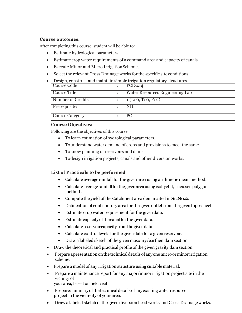#### **Course outcomes:**

After completing this course, student will be able to:

- Estimate hydrological parameters.
- Estimate crop water requirements of a command area and capacity of canals.
- Execute Minor and Micro IrrigationSchemes.
- Select the relevant Cross Drainage works for the specific site conditions.

| Desigli, construct and manitalli simple imigation regulatory structures. |  |                                 |  |  |
|--------------------------------------------------------------------------|--|---------------------------------|--|--|
| Course Code                                                              |  | <b>PCE-414</b>                  |  |  |
|                                                                          |  |                                 |  |  |
| Course Title                                                             |  | Water Resources Engineering Lab |  |  |
|                                                                          |  |                                 |  |  |
| Number of Credits                                                        |  | 1(L: 0, T: 0, P: 2)             |  |  |
|                                                                          |  |                                 |  |  |
| Prerequisites                                                            |  | <b>NIL</b>                      |  |  |
|                                                                          |  |                                 |  |  |
|                                                                          |  |                                 |  |  |
| <b>Course Category</b>                                                   |  | PC.                             |  |  |
|                                                                          |  |                                 |  |  |

Design, construct and maintain simple irrigation regulatory structures.

#### **Course Objectives:**

Following are the objectives of this course:

- To learn estimation ofhydrological parameters.
- Tounderstand water demand of crops and provisions to meet the same.
- Toknow planning of reservoirs and dams.
- Todesign irrigation projects, canals and other diversion works.

# **List of Practicals to be performed**

- Calculate average rainfall for the given area using arithmetic mean method.
- Calculate averagerainfallfor thegivenareausingisohyetal,Theissenpolygon method.
- Compute the yield of the Catchment area demarcated in **Sr.No.2**.
- Delineation of contributory area for the given outlet from the given topo-sheet.
- Estimate crop water requirement for the given data.
- Estimatecapacityofthecanalfor thegivendata.
- Calculate reservoir capacity from the givendata.
- Calculate control levels for the given data for a given reservoir.
- Draw a labeled sketch of the given masonry/earthen dam section.
- Draw the theoretical and practical profile of the given gravity dam section.
- Prepareapresentationonthetechnicaldetailsof anyonemicroorminor irrigation scheme.
- Prepare a model of any irrigation structure using suitable material.
- Prepare a maintenance report for any major/minor irrigation project site in the vicinity of
	- your area, based on field visit.
- Preparesummaryofthetechnicaldetailsofanyexistingwater resource project in the vicin- ity of your area.
- Draw a labeled sketch of the given diversion head works and Cross Drainageworks.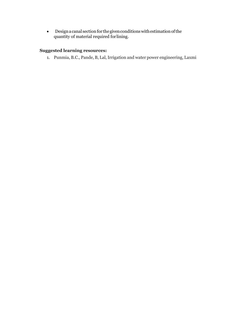• Design a canal section for the given conditions with estimation of the quantity of material required forlining.

# **Suggested learning resources:**

1. Punmia, B.C., Pande, B, Lal,Irrigation and water power engineering, Laxmi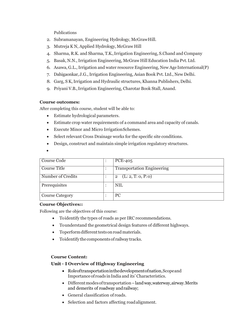Publications

- 2. Subramanayan, Engineering Hydrology, McGrawHill.
- 3. Mutreja K N, Applied Hydrology, McGraw Hill
- 4. Sharma, R.K. and Sharma, T.K.,Irrigation Engineering, S.Chand and Company
- 5. Basak, N.N.,Irrigation Engineering, McGraw Hill Education India Pvt.Ltd.
- 6. Asawa, G.L.,Irrigation and water resource Engineering, New Age International(P)
- 7. Dahigaonkar,J.G.,Irrigation Engineering, Asian Book Pvt. Ltd., New Delhi.
- 8. Garg, S K, Irrigation and Hydraulic structures, Khanna Publishers, Delhi.
- 9. Priyani V.B.,Irrigation Engineering, Charotar Book Stall, Anand.

# **Course outcomes:**

After completing this course, student will be able to:

- Estimate hydrological parameters.
- Estimate crop water requirements of a command area and capacity of canals.
- Execute Minor and Micro IrrigationSchemes.
- Select relevant Cross Drainage works for the specific site conditions.
- Design, construct and maintain simple irrigation regulatory structures.
- $\bullet$

| Course Code            |  | <b>PCE-405</b>                       |
|------------------------|--|--------------------------------------|
| <b>Course Title</b>    |  | <b>Transportation Engineering</b>    |
| Number of Credits      |  | (L: 2, T: 0, P: 0)<br>$\overline{2}$ |
| Prerequisites          |  | <b>NIL</b>                           |
| <b>Course Category</b> |  | PC                                   |

# **Course Objectives::**

Following are the objectives of this course:

- Toidentify the types of roads as per IRC recommendations.
- Tounderstand the geometrical design features of different highways.
- Toperform different tests on road materials.
- Toidentify the components of railwaytracks.

# **Course Content:**

# **Unit – I Overview of Highway Engineering**

- Roleoftransportationinthedevelopmentofnation,Scopeand Importanceof roads inIndia and its' Characteristics.
- Different modes of transportation land way, waterway, airway. Merits and demerits of roadway andrailway;
- General classification of roads.
- Selection and factors affecting road alignment.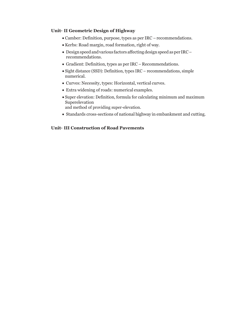#### **Unit– II Geometric Design of Highway**

- Camber: Definition, purpose, types as per IRC recommendations.
- Kerbs: Road margin, road formation, right of way.
- Design speed and various factors affecting design speed as per IRCrecommendations.
- Gradient: Definition, types as per IRC Recommendations.
- Sight distance (SSD): Definition, types IRC recommendations, simple numerical.
- Curves: Necessity, types: Horizontal, vertical curves.
- Extra widening of roads: numerical examples.
- Super elevation: Definition, formula for calculating minimum and maximum Superelevation and method of providing super-elevation.
- Standards cross-sections of national highway in embankment and cutting.

# **Unit– III Construction of Road Pavements**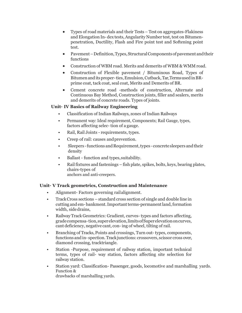- Types of road materials and their Tests Test on aggregates-Flakiness and Elongation In-dex tests, Angularity Number test, test on Bitumenpenetration, Ductility, Flash and Fire point test and Softening point test.
- Pavement Definition, Types, Structural Components of pavement and their functions
- Construction of WBM road. Merits and demerits of WBM & WMM road.
- Construction of Flexible pavement / Bituminous Road, Types of Bitumenanditsproper-ties,Emulsion,Cutback,Tar,TermsusedinBRprime coat, tack coat, seal coat, Merits and Demerits of BR.
- Cement concrete road -methods of construction, Alternate and Continuous Bay Method, Construction joints, filler and sealers, merits and demerits of concrete roads. Types of joints.

# **Unit– IV Basics of Railway Engineering**

- Classification of Indian Railways, zones of Indian Railways
- Permanent way: Ideal requirement, Components; Rail Gauge, types, factors affecting selec- tion of a gauge.
- Rail, Rail Joints requirements, types.
- Creep of rail: causes andprevention.
- Sleepers functions and Requirement, types concrete sleepers and their density
- Ballast function and types,suitability.
- Rail fixtures and fastenings fish plate, spikes, bolts, keys, bearing plates, chairs-types of anchors and anti-creepers.

#### **Unit– V Track geometrics, Construction and Maintenance**

- Alignment- Factors governing railalignment.
- Track Cross sections standard cross section of single and double line in cutting and em-bankment. Important terms-permanent land, formation width, sidedrains,
- RailwayTrack Geometrics: Gradient, curves- types and factors affecting, gradecompensa-tion,superelevation,limitsofSuperelevationoncurves, cant deficiency, negative cant, con-ing of wheel, tilting of rail.
- Branching of Tracks, Points and crossings, Turn out-types, components, functions and in-spection. Track junctions: crossovers, scissor cross over, diamond crossing, tracktriangle.
- Station -Purpose, requirement of railway station, important technical terms, types of rail- way station, factors affecting site selection for railway station.
- Station yard: Classification- Passenger, goods, locomotive and marshalling yards. Function & drawbacks of marshalling yards.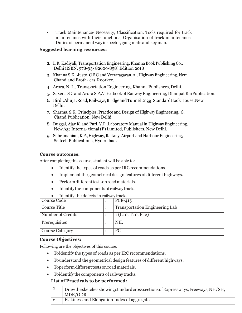• Track Maintenance- Necessity, Classification, Tools required for track maintenance with their functions, Organisation of track maintenance, Duties ofpermanent wayinspector,gang mate and key man.

#### **Suggested learning resources:**

- 2. L.R. Kadiyali, Transportation Engineering, Khanna Book Publishing Co., Delhi(ISBN: 978-93- 82609-858) Edition 2018
- 3. Khanna S.K., Justo, C E G and Veeraragavan,A., HighwayEngineering, Nem Chand and Broth- ers,Roorkee.
- 4. Arora, N. L., Transportation Engineering, Khanna Publishers, Delhi.
- 5. Saxena S C and Arora S P,A Textbookof RailwayEngineering, Dhanpat RaiPublication.
- 6. Birdi,Ahuja,Road,Railways,BridgeandTunnelEngg,StandardBookHouse,New Delhi.
- 7. Sharma, S.K., Principles, Practice and Design of HighwayEngineering,, S. Chand Publication, New Delhi.
- 8. Duggal, Ajay K. and Puri, V.P.,Laboratory Manual in Highway Engineering, New Age Interna-tional(P) Limited, Publishers, New Delhi.
- 9. Subramanian, K.P., Highway,Railway,Airport and Harbour Engineering, Scitech Publications, Hyderabad.

#### **Course outcomes:**

After completing this course, student will be able to:

- Identify the types of roads as per IRC recommendations.
- Implement the geometrical design features of different highways.
- Perform different tests on road materials.
- Identifythecomponentsof railwaytracks.
- Identify the defects in railwaytracks.

| Course Code            |  | $PCE-415$                             |
|------------------------|--|---------------------------------------|
| Course Title           |  | <b>Transportation Engineering Lab</b> |
| Number of Credits      |  | 1(L: 0, T: 0, P: 2)                   |
| Prerequisites          |  | <b>NIL</b>                            |
| <b>Course Category</b> |  | PC.                                   |

#### **Course Objectives:**

Following are the objectives of this course:

- Toidentify the types of roads as per IRC recommendations.
- Tounderstand the geometrical design features of different highways.
- Toperform different tests on road materials.
- Toidentify the components of railwaytracks.

#### **List of Practicals to be performed:**

| Drawthesketches showing standard cross sections of Expressways, Freeways, NH/SH,<br>MDR/ODR |
|---------------------------------------------------------------------------------------------|
| Flakiness and Elongation Index of aggregates.                                               |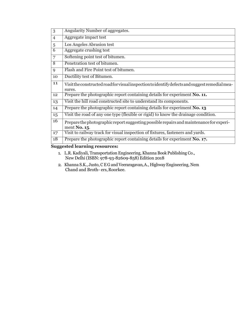| 3              | Angularity Number of aggregates.                                                                        |
|----------------|---------------------------------------------------------------------------------------------------------|
| $\overline{4}$ | Aggregate impact test                                                                                   |
| 5              | Los Angeles Abrasion test                                                                               |
| $\overline{6}$ | Aggregate crushing test                                                                                 |
| $\overline{7}$ | Softening point test of bitumen.                                                                        |
| $\overline{8}$ | Penetration test of bitumen.                                                                            |
| 9              | Flash and Fire Point test of bitumen.                                                                   |
| 10             | Ductility test of Bitumen.                                                                              |
| 11             | Visit the constructed road for visual inspection to identify defects and suggest remedial mea-          |
|                | sures.                                                                                                  |
| 12             | Prepare the photographic report containing details for experiment No. 11.                               |
| 13             | Visit the hill road constructed site to understand its components.                                      |
| 14             | Prepare the photographic report containing details for experiment No. 13                                |
| 15             | Visit the road of any one type (flexible or rigid) to know the drainage condition.                      |
| 16             | Prepare the photographic report suggesting possible repairs and maintenance for experi-<br>ment No. 15. |
| 17             | Visit to railway track for visual inspection of fixtures, fasteners and yards.                          |
| 18             | Prepare the photographic report containing details for experiment No. 17.                               |

# **Suggested learning resources:**

- 1. L.R. Kadiyali, Transportation Engineering, Khanna Book Publishing Co., New Delhi (ISBN: 978-93-82609-858) Edition 2018
- 2. Khanna S.K., Justo, C E G and Veeraragavan,A., HighwayEngineering, Nem Chand and Broth- ers,Roorkee.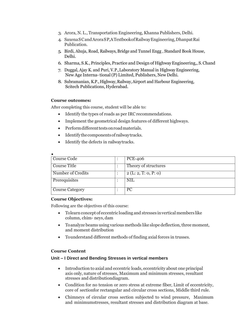- 3. Arora, N. L., Transportation Engineering, Khanna Publishers, Delhi.
- 4. SaxenaSCandAroraSP,ATextbookofRailwayEngineering,DhanpatRai Publication.
- 5. Birdi, Ahuja, Road, Railways, Bridge and Tunnel Engg , Standard Book House, Delhi.
- 6. Sharma, S.K., Principles,Practice and Design of HighwayEngineering,, S.Chand
- 7. Duggal, Ajay K. and Puri, V.P.,Laboratory Manual in HighwayEngineering, New Age Interna-tional(P) Limited, Publishers, New Delhi.
- 8. Subramanian, K.P., Highway,Railway,Airport and Harbour Engineering, Scitech Publications, Hyderabad.

#### **Course outcomes:**

After completing this course, student will be able to:

- Identify the types of roads as per IRC recommendations.
- Implement the geometrical design features of different highways.
- Perform different tests on road materials.
- Identify the components of railway tracks.
- Identify the defects in railwaytracks.

| $\bullet$              |  |                      |
|------------------------|--|----------------------|
| Course Code            |  | <b>PCE-406</b>       |
| <b>Course Title</b>    |  | Theory of structures |
| Number of Credits      |  | 2(L: 2, T: 0, P: 0)  |
| Prerequisites          |  | <b>NIL</b>           |
| <b>Course Category</b> |  | <b>PC</b>            |

#### **Course Objectives:**

Following are the objectives of this course:

- Tolearn concept of eccentric loading and stresses in vertical members like column, chim- neys,dam
- $\bullet$  To analyze beams using various methods like slope deflection, three moment, and moment distribution
- Tounderstand different methods of finding axial forces in trusses.

#### **Course Content**

#### **Unit – I Direct and Bending Stresses in vertical members**

- Introduction to axial and eccentric loads, eccentricity about one principal axis only, nature of stresses, Maximum and minimum stresses, resultant stresses and distributiondiagram.
- Condition for no tension or zero stress at extreme fiber, Limit of eccentricity, core of sectionfor rectangular and circular cross sections, Middle third rule.
- Chimneys of circular cross section subjected to wind pressure, Maximum and minimumstresses, resultant stresses and distribution diagram at base.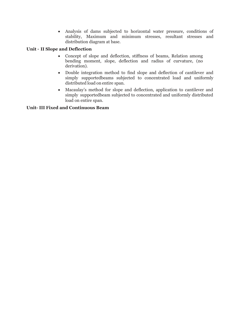Analysis of dams subjected to horizontal water pressure, conditions of stability, Maximum and minimum stresses, resultant stresses and distribution diagram at base.

# **Unit – II Slope and Deflection**

- Concept of slope and deflection, stiffness of beams, Relation among bending moment, slope, deflection and radius of curvature, (no derivation).
- Double integration method to find slope and deflection of cantilever and simply supportedbeams subjected to concentrated load and uniformly distributed load on entire span.
- Macaulay's method for slope and deflection, application to cantilever and simply supportedbeam subjected to concentrated and uniformly distributed load on entire span.

# **Unit- III Fixed and Continuous Beam**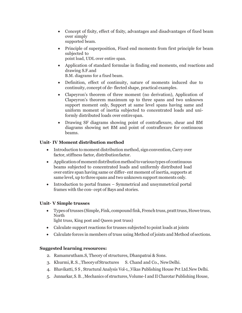- Concept of fixity, effect of fixity, advantages and disadvantages of fixed beam over simply supported beam.
- Principle of superposition, Fixed end moments from first principle for beam subjected to point load, UDL over entire span.
- Application of standard formulae in finding end moments, end reactions and drawing S.F.and B.M. diagrams for a fixed beam.
- Definition, effect of continuity, nature of moments induced due to continuity, concept of de-flected shape, practical examples.
- Clapeyron's theorem of three moment (no derivation), Application of Clapeyron's theorem maximum up to three spans and two unknown support moment only, Support at same level spans having same and uniform moment of inertia subjected to concentrated loads and uniformly distributed loads over entirespan.
- Drawing SF diagrams showing point of contraflexure, shear and BM diagrams showing net BM and point of contraflexure for continuous beams.

# **Unit– IV Moment distribution method**

- Introduction to moment distribution method, sign convention, Carry over factor, stiffness factor, distributionfactor.
- Application of moment distribution method to various types of continuous beams subjected to concentrated loads and uniformly distributed load over entire span having same or differ- ent moment of inertia, supports at same level, up to three spans and two unknown support moments only.
- Introduction to portal frames Symmetrical and unsymmetrical portal frames with the con- cept of Bays and stories.

# **Unit– V Simple trusses**

• Types of trusses (Simple, Fink, compound fink, French truss, pratt truss, Howe truss, North

light truss, King post and Queen post truss)

- Calculate support reactions for trusses subjected to point loads at joints
- Calculate forces in members of truss using Method of joints and Method of sections.

# **Suggested learning resources:**

- 2. Ramamrutham.S, Theory of structures, Dhanpatrai & Sons.
- 3. Khurmi,R.S.,TheoryofStructures S. Chand and Co., NewDelhi.
- 4. Bhavikatti, S S , Structural Analysis Vol-1, ,Vikas Publishing House Pvt Ltd.New Delhi.
- 5. Junnarkar,S. B. , Mechanics of structures,Volume-I and II Charotar Publishing House,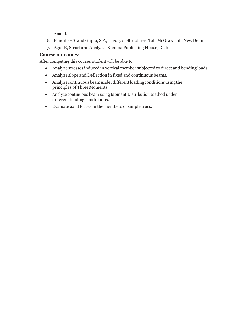Anand.

- 6. Pandit, G.S. and Gupta, S.P.,Theory of Structures, TataMcGraw Hill, New Delhi.
- 7. Agor R, Structural Analysis, Khanna Publishing House, Delhi.

# **Course outcomes:**

After competing this course, student will be able to:

- Analyze stresses induced in vertical member subjected to direct and bending loads.
- Analyze slope and Deflection in fixed and continuous beams.
- Analyzecontinuousbeamunderdifferentloadingconditionsusingthe principles of Three Moments.
- Analyze continuous beam using Moment Distribution Method under different loading condi-tions.
- Evaluate axial forces in the members of simple truss.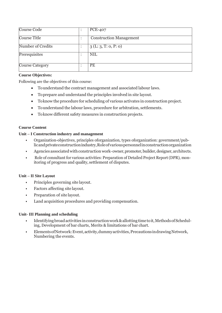| Course Code            | <b>PCE-407</b>                 |
|------------------------|--------------------------------|
| Course Title           | <b>Construction Management</b> |
| Number of Credits      | 3(L:3, T:0, P:0)               |
| Prerequisites          | <b>NIL</b>                     |
| <b>Course Category</b> | PE                             |

# **Course Objectives:**

Following are the objectives of this course:

- Tounderstand the contract management and associated labour laws.
- Toprepare and understand the principles involved in site layout.
- Toknow the procedure for scheduling of various activates in construction project.
- Tounderstand the labour laws, procedure for arbitration, settlements.
- Toknow different safety measures in construction projects.

#### **Course Content**

#### **Unit – I Construction industry and management**

- Organization-objectives, principles oforganization, types oforganization: government/publicandprivateconstructionindustry,Roleofvariouspersonnelinconstructionorganization
- Agencies associated with construction work-owner, promoter, builder, designer, architects.
- Role of consultant for various activities: Preparation of Detailed Project Report (DPR), monitoring of progress and quality, settlement of disputes.

#### **Unit – II Site Layout**

- Principles governing site layout.
- Factors affecting site layout.
- Preparation of site layout.
- Land acquisition procedures and providing compensation.

#### **Unit- III Planning and scheduling**

- Identifying broad activities in construction work & allotting time to it, Methods of Scheduling, Development of bar charts, Merits & limitations of bar chart.
- ElementsofNetwork:Event,activity,dummyactivities,PrecautionsindrawingNetwork, Numbering the events.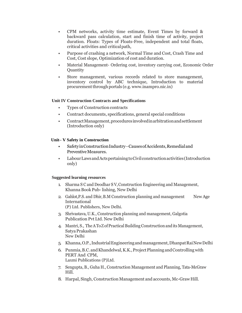- CPM networks, activity time estimate, Event Times by forward & backward pass calculation, start and finish time of activity, project duration. Floats: Types of Floats-Free, independent and total floats, critical activities and criticalpath,
- Purpose of crashing a network, Normal Time and Cost, Crash Time and Cost, Cost slope, Optimization of cost and duration.
- Material Management- Ordering cost, inventory carrying cost, Economic Order **Ouantity**
- Store management, various records related to store management, inventory control by ABC technique, Introduction to material procurement through portals (e.g. www.inampro.nic.in)

#### **Unit IV Construction Contracts and Specifications**

- Types of Construction contracts
- Contract documents, specifications, general special conditions
- ContractManagement,proceduresinvolvedinarbitrationandsettlement (Introduction only)

#### **Unit– V Safety in Construction**

- SafetyinConstructionIndustry—CausesofAccidents,Remedialand Preventive Measures.
- LabourLawsandActspertainingtoCivilconstructionactivities(Introduction only)

#### **Suggested learning resources**

- 1. Sharma S C and Deodhar S V,Construction Engineering and Management, Khanna Book Pub- lishing, New Delhi
- 2. Gahlot,P.S. and Dhir,B.M Construction planning and management New Age International (P) Ltd. Publishers, New Delhi.
- 3. Shrivastava, U.K., Construction planning and management, Galgotia Publication Pvt Ltd. New Delhi
- 4. Mantri, S., The ATo Z of Practical Building Construction and its Management, SatyaPrakashan New Delhi
- 5. Khanna,O.P.,IndustrialEngineeringandmanagement,DhanpatRaiNewDelhi
- 6. Punmia, B.C. and Khandelwal, K.K., Project Planning and Controlling with PERT And CPM, Laxmi Publications (P)Ltd.
- 7. Sengupta, B., Guha H., Construction Management and Planning, Tata-McGraw Hill.
- 8. Harpal, Singh, ConstructionManagement and accounts, Mc-GrawHill.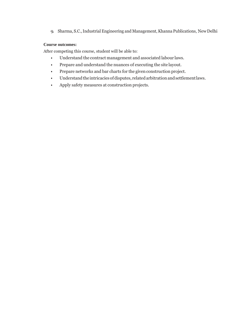9. Sharma, S.C.,Industrial Engineering and Management, Khanna Publications, NewDelhi

#### **Course outcomes:**

After competing this course, student will be able to:

- Understand the contract management and associated labour laws.
- Prepare and understand the nuances of executing the site layout.
- Prepare networks and bar charts for the given construction project.
- Understand the intricacies of disputes, related arbitration and settlement laws.
- Apply safety measures at construction projects.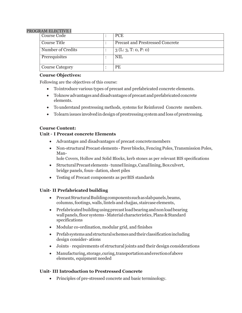#### PROGRAM ELECTIVE I

| Course Code            |  | <b>PCE</b>                              |
|------------------------|--|-----------------------------------------|
| Course Title           |  | <b>Precast and Prestressed Concrete</b> |
| Number of Credits      |  | 3(L:3, T:0, P:0)                        |
| Prerequisites          |  | <b>NIL</b>                              |
| <b>Course Category</b> |  | <b>PE</b>                               |

# **Course Objectives:**

Following are the objectives of this course:

- Tointroduce various types of precast and prefabricated concrete elements.
- Toknow advantages and disadvantages of precast and prefabricated concrete elements.
- To understand prestressing methods, systems for Reinforced Concrete members.
- Tolearn issues involved in design of prestressing system and loss of prestressing.

# **Course Content:**

# **Unit – I Precast concrete Elements**

- Advantages and disadvantages of precast concretemembers
- Non-structural Precast elements -Paverblocks, Fencing Poles, Transmission Poles, Man-

hole Covers, Hollow and Solid Blocks, kerb stones as per relevant BIS specifications

- Structural Precastelements-tunnellinings, Canallining, Boxculvert, bridge panels, foun- dation, sheet piles
- Testing of Precast components as perBIS standards

# **Unit– II Prefabricated building**

- PrecastStructuralBuildingcomponentssuchasslabpanels,beams, columns,footings,walls, lintels and chajjas, staircase elements,
- Prefabricated building using precast load bearing and non load bearing wall panels, floor systems - Material characteristics, Plans & Standard specifications
- Modular co-ordination, modular grid, and finishes
- Prefabsystemsandstructuralschemesandtheirclassificationincluding design consider- ations
- Joints requirements of structural joints and their design considerations
- Manufacturing,storage,curing,transportationanderectionofabove elements, equipment needed

# **Unit– III Introduction to Prestressed Concrete**

• Principles of pre-stressed concrete and basic terminology.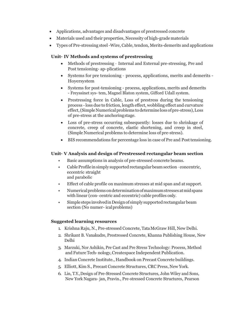- Applications, advantages and disadvantages of prestressed concrete
- Materials used and their properties, Necessity of high-grade materials
- Types of Pre-stressing steel-Wire, Cable, tendon, Merits-demerits and applications

# **Unit– IV Methods and systems of prestressing**

- Methods of prestressing Internal and External pre-stressing, Pre and Post tensioning- ap-plications
- Systems for pre tensioning process, applications, merits and demerits Hoyersystem
- Systems for post-tensioning process, applications, merits and demerits - Freyssinet sys- tem, Magnel Blaton system, Gifford Udall system.
- Prestressing force in Cable, Loss of prestress during the tensioning process -loss due to friction, length effect, wobbling effect and curvature effect,(SimpleNumericalproblems todetermine loss ofpre-stress),Loss of pre-stress at the anchoringstage.
- Loss of pre-stress occurring subsequently: losses due to shrinkage of concrete, creep of concrete, elastic shortening, and creep in steel, (Simple Numerical problems to determine loss of pre-stress).
- BIS recommendations for percentage loss in case of Pre and Posttensioning.

# **Unit– V Analysis and design of Prestressed rectangular beam section**

- Basic assumptions in analysis of pre-stressed concrete beams.
- Cable Profile in simply supported rectangular beam section concentric, eccentric straight and parabolic
- Effect of cable profile on maximum stresses at mid span and at support.
- Numericalproblemsondeterminationofmaximumstressesatmidspans with linear (con- centric and eccentric) cable profiles only.
- Simple steps involved in Design of simply supported rectangular beam section (No numer- icalproblems)

# **Suggested learning resources**

- 1. Krishna Raju, N., Pre-stressed Concrete, TataMcGraw Hill, New Delhi.
- 2. Shrikant B. Vanakudre, Prestressed Concrete, Khanna Publishing House, New Delhi
- 3. Marzuki, Nor Ashikin, Pre Cast and Pre Stress Technology: Process, Method and Future Tech-nology, Createspace Independent Publication.
- 4. Indian Concrete Institute., Handbook on Precast Concrete buildings.
- 5. Elliott, Kim S., Precast Concrete Structures, CRC Press, New York.
- 6. Lin, T.Y.,Design of Pre-Stressed Concrete Structures, John Wiley and Sons, New York Nagara- jan, Pravin., Pre-stressed Concrete Structures, Pearson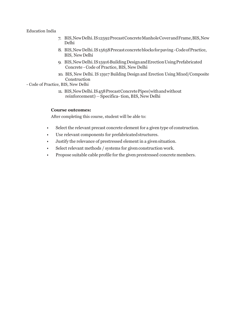#### Education India

- 7. BIS,NewDelhi.IS12592PrecastConcreteManholeCoverandFrame,BIS,New Delhi
- 8. BIS,NewDelhi.IS15658Precastconcreteblocksforpaving-CodeofPractice, BIS, NewDelhi
- 9. BIS,NewDelhi.IS15916BuildingDesignandErectionUsingPrefabricated Concrete - Code of Practice, BIS, New Delhi
- 10. BIS, New Delhi. IS 15917 Building Design and Erection Using Mixed/Composite Construction

#### - Code of Practice, BIS, New Delhi

11. BIS,NewDelhi.IS458PrecastConcretePipes(withandwithout reinforcement) - Specifica-tion, BIS, New Delhi

#### **Course outcomes:**

After completing this course, student will be able to:

- Select the relevant precast concrete element for a given type of construction.
- Use relevant components for prefabricated structures.
- Justify the relevance of prestressed element in a givensituation.
- Select relevant methods / systems for given construction work.
- Propose suitable cable profile for the given prestressed concrete members.